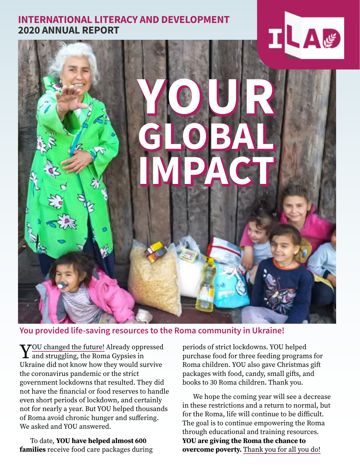#### **INTERNATIONAL LITERACY AND DEVELOPMENT 2020 ANNUAL REPORT**



#### **You provided life-saving resources to the Roma community in Ukraine!**

 $\sqrt{7}$ OU changed the future! Already oppressed  $\mathbf I$  and struggling, the Roma Gypsies in Ukraine did not know how they would survive the coronavirus pandemic or the strict government lockdowns that resulted. They did not have the financial or food reserves to handle even short periods of lockdown, and certainly not for nearly a year. But YOU helped thousands of Roma avoid chronic hunger and suffering. We asked and YOU answered.

To date, YOU have helped almost 600 families receive food care packages during periods of strict lockdowns. YOU helped purchase food for three feeding programs for Roma children. YOU also gave Christmas gift packages with food, candy, small gifts, and books to 30 Roma children. Thank you.

We hope the coming year will see a decrease in these restrictions and a return to normal, but for the Roma, life will continue to be difficult. The goal is to continue empowering the Roma through educational and training resources. YOU are giving the Roma the chance to overcome poverty. Thank you for all you do!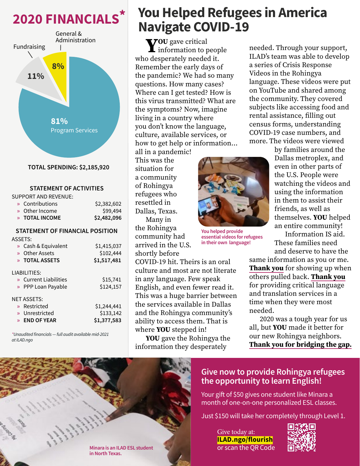## **2020 FINANCIALS\***



#### **STATEMENT OF ACTIVITIES**

#### SUPPORT AND REVENUE:

| » Contributions | \$2,382,602 |
|-----------------|-------------|
| » Other Income  | \$99,494    |
| » TOTAL INCOME  | \$2,482,096 |
|                 |             |

#### **STATEMENT OF FINANCIAL POSITION**

ASSETS:

| » Cash & Equivalent<br>» Other Assets<br>» TOTAL ASSETS                       | \$1,415,037<br>\$102,444<br>\$1,517,481 |
|-------------------------------------------------------------------------------|-----------------------------------------|
| LIABILITIES:<br>» Current Liabilities<br>» PPP Loan Payable                   | \$15,741<br>\$124,157                   |
| <b>NET ASSETS:</b><br>» Restricted<br>» Unrestricted<br>$\lambda$ END OF YEAR | \$1,244,441<br>\$133,142<br>\$1,377,583 |

*\*Unaudited financials — full audit available mid-2021 at ILAD.ngo*

## **You Helped Refugees in America Navigate COVID-19**

Administration **VOU** gave critical who desperately needed it. Remember the early days of the pandemic? We had so many questions. How many cases? Where can I get tested? How is this virus transmitted? What are the symptoms? Now, imagine living in a country where you don't know the language, culture, available services, or how to get help or information…

all in a pandemic! This was the situation for a community of Rohingya refugees who resettled in Dallas, Texas. Many in the Rohingya community had arrived in the U.S. shortly before



**You helped provide essential videos for refugees in their own language!**

COVID-19 hit. Theirs is an oral culture and most are not literate in any language. Few speak English, and even fewer read it. This was a huge barrier between the services available in Dallas and the Rohingya community's ability to access them. That is where **YOU** stepped in!

YOU gave the Rohingya the information they desperately

needed. Through your support, ILAD's team was able to develop a series of Crisis Response Videos in the Rohingya language. These videos were put on YouTube and shared among the community. They covered subjects like accessing food and rental assistance, filling out census forms, understanding COVID-19 case numbers, and more. The videos were viewed

> by families around the Dallas metroplex, and even in other parts of the U.S. People were watching the videos and using the information in them to assist their friends, as well as themselves. YOU helped an entire community!

Information IS aid. These families need and deserve to have the

same information as you or me. **Thank you** for showing up when others pulled back. Thank you for providing critical language and translation services in a time when they were most needed.

2020 was a tough year for us all, but YOU made it better for our new Rohingya neighbors. Thank you for bridging the gap.

#### **Give now to provide Rohingya refugees the opportunity to learn English!**

Your gift of \$50 gives one student like Minara a month of one-on-one personalized ESL classes.

Just \$150 will take her completely through Level 1.

Give today at: **ILAD.ngo/flourish** or scan the QR Code



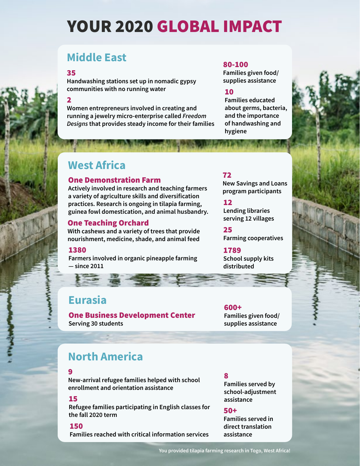# YOUR 2020 GLOBAL IMPACT

## **Middle East**

35

**Handwashing stations set up in nomadic gypsy communities with no running water 10** 

2

**Women entrepreneurs involved in creating and running a jewelry micro-enterprise called** *Freedom Designs* **that provides steady income for their families**

#### 80-100

**Families given food/ supplies assistance**

**Families educated about germs, bacteria, and the importance of handwashing and hygiene**

### **West Africa**

#### One Demonstration Farm

**Actively involved in research and teaching farmers a variety of agriculture skills and diversification practices. Research is ongoing in tilapia farming, guinea fowl domestication, and animal husbandry.**

#### **Serving 12 villages** One Teaching Orchard

**With cashews and a variety of trees that provide nourishment, medicine, shade, and animal feed**

#### 1380

**Farmers involved in organic pineapple farming — since 2011**

#### 72

**New Savings and Loans program participants**

#### 12

**Lending libraries** 

25 **Farming cooperatives**

#### 1789

**School supply kits distributed** 

#### **Eurasia**

One Business Development Center **Serving 30 students**

600+ **Families given food/ supplies assistance**

#### **North America**

#### 9

**New-arrival refugee families helped with school enrollment and orientation assistance**

**Refugee families participating in English classes for the fall 2020 term**

#### 150

**Families reached with critical information services**

#### 8

**Families served by school-adjustment 15 assistance** 

#### 50+

**Families served in direct translation assistance**